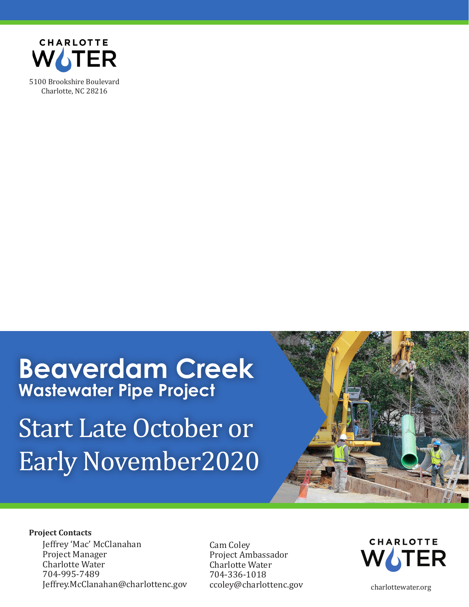

### **Beaverdam Creek Wastewater Pipe Project**

# Start Late October or Early November2020



#### **Project Contacts**

Jeffrey 'Mac' McClanahan Project Manager Charlotte Water 704-995-7489 Jeffrey.McClanahan@charlottenc.gov Cam Coley Project Ambassador Charlotte Water 704-336-1018 ccoley@charlottenc.gov



charlottewater.org